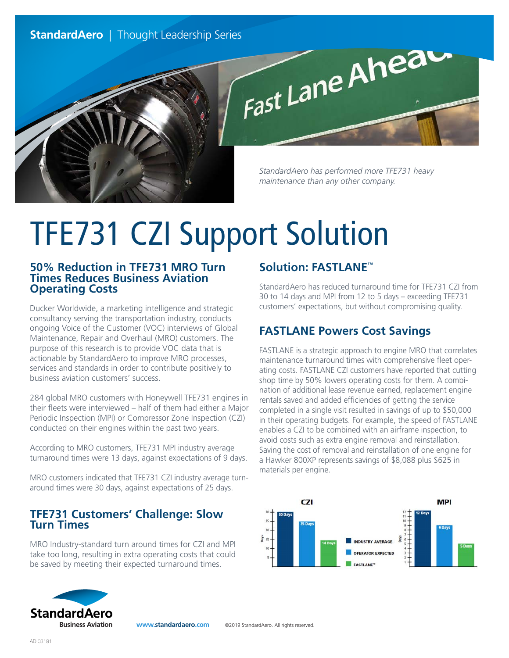

*StandardAero has performed more TFE731 heavy maintenance than any other company.*

# TFE731 CZI Support Solution

#### **50% Reduction in TFE731 MRO Turn Times Reduces Business Aviation Operating Costs**

Ducker Worldwide, a marketing intelligence and strategic consultancy serving the transportation industry, conducts ongoing Voice of the Customer (VOC) interviews of Global Maintenance, Repair and Overhaul (MRO) customers. The purpose of this research is to provide VOC data that is actionable by StandardAero to improve MRO processes, services and standards in order to contribute positively to business aviation customers' success.

284 global MRO customers with Honeywell TFE731 engines in their fleets were interviewed – half of them had either a Major Periodic Inspection (MPI) or Compressor Zone Inspection (CZI) conducted on their engines within the past two years.

According to MRO customers, TFE731 MPI industry average turnaround times were 13 days, against expectations of 9 days.

MRO customers indicated that TFE731 CZI industry average turnaround times were 30 days, against expectations of 25 days.

#### **TFE731 Customers' Challenge: Slow Turn Times**

MRO Industry-standard turn around times for CZI and MPI take too long, resulting in extra operating costs that could be saved by meeting their expected turnaround times.

## **Solution: FASTLANE™**

StandardAero has reduced turnaround time for TFE731 CZI from 30 to 14 days and MPI from 12 to 5 days – exceeding TFE731 customers' expectations, but without compromising quality.

# **FASTLANE Powers Cost Savings**

FASTLANE is a strategic approach to engine MRO that correlates maintenance turnaround times with comprehensive fleet operating costs. FASTLANE CZI customers have reported that cutting shop time by 50% lowers operating costs for them. A combination of additional lease revenue earned, replacement engine rentals saved and added efficiencies of getting the service completed in a single visit resulted in savings of up to \$50,000 in their operating budgets. For example, the speed of FASTLANE enables a CZI to be combined with an airframe inspection, to avoid costs such as extra engine removal and reinstallation. Saving the cost of removal and reinstallation of one engine for a Hawker 800XP represents savings of \$8,088 plus \$625 in materials per engine.





**www.standardaero.com** ©2019 StandardAero. All rights reserved.